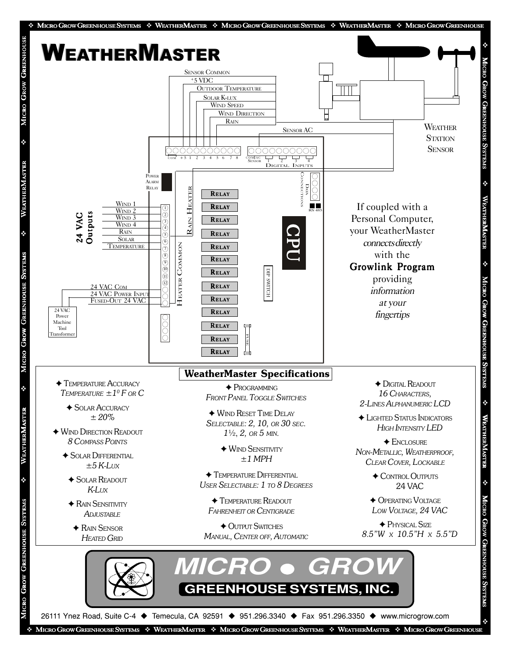

MICRO GROW GREENHOUSE SYSTEMS  $\cdot \cdot$  WEATHERMASTER  $\cdot \cdot$  MICRO GROW GREENHOUSE SYSTEMS  $\cdot \cdot$  WEATHERMASTER  $\cdot \cdot$  MICRO GROW GREENHOUSE